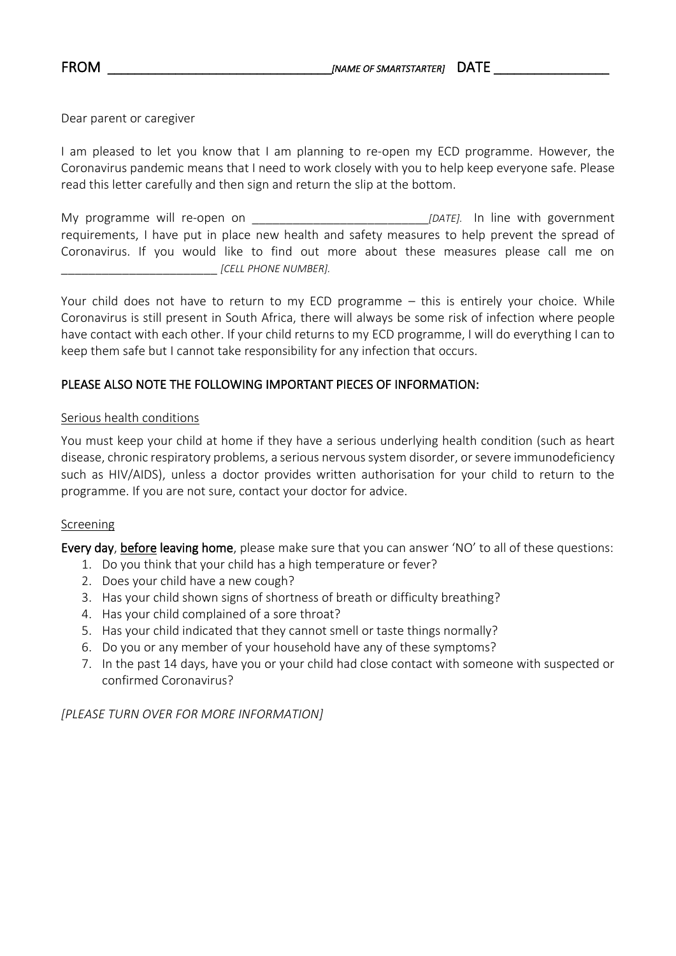Dear parent or caregiver

I am pleased to let you know that I am planning to re-open my ECD programme. However, the Coronavirus pandemic means that I need to work closely with you to help keep everyone safe. Please read this letter carefully and then sign and return the slip at the bottom.

My programme will re-open on **Example 2018** [DATE]. In line with government requirements, I have put in place new health and safety measures to help prevent the spread of Coronavirus. If you would like to find out more about these measures please call me on \_\_\_\_\_\_\_\_\_\_\_\_\_\_\_\_\_\_\_\_\_\_\_ *[CELL PHONE NUMBER].*

Your child does not have to return to my ECD programme – this is entirely your choice. While Coronavirus is still present in South Africa, there will always be some risk of infection where people have contact with each other. If your child returns to my ECD programme, I will do everything I can to keep them safe but I cannot take responsibility for any infection that occurs.

## PLEASE ALSO NOTE THE FOLLOWING IMPORTANT PIECES OF INFORMATION:

#### Serious health conditions

You must keep your child at home if they have a serious underlying health condition (such as heart disease, chronic respiratory problems, a serious nervous system disorder, or severe immunodeficiency such as HIV/AIDS), unless a doctor provides written authorisation for your child to return to the programme. If you are not sure, contact your doctor for advice.

#### Screening

Every day, before leaving home, please make sure that you can answer 'NO' to all of these questions:

- 1. Do you think that your child has a high temperature or fever?
- 2. Does your child have a new cough?
- 3. Has your child shown signs of shortness of breath or difficulty breathing?
- 4. Has your child complained of a sore throat?
- 5. Has your child indicated that they cannot smell or taste things normally?
- 6. Do you or any member of your household have any of these symptoms?
- 7. In the past 14 days, have you or your child had close contact with someone with suspected or confirmed Coronavirus?

*[PLEASE TURN OVER FOR MORE INFORMATION]*